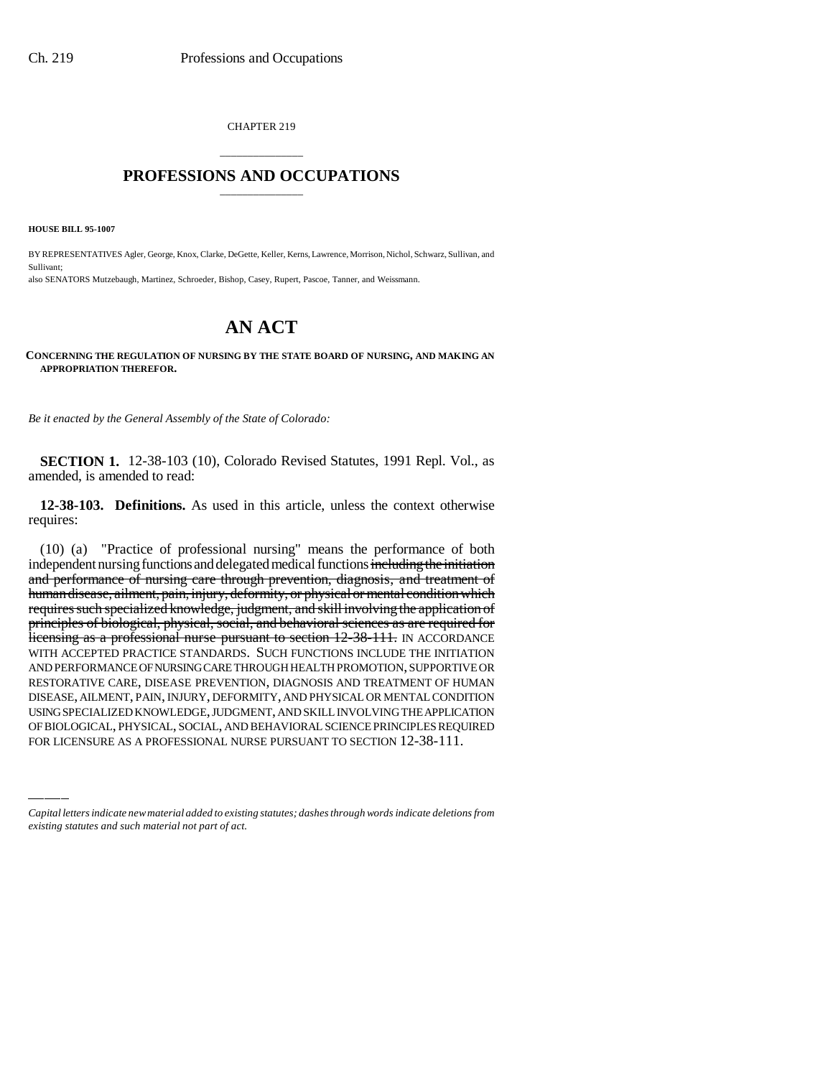CHAPTER 219

# \_\_\_\_\_\_\_\_\_\_\_\_\_\_\_ **PROFESSIONS AND OCCUPATIONS** \_\_\_\_\_\_\_\_\_\_\_\_\_\_\_

**HOUSE BILL 95-1007**

BY REPRESENTATIVES Agler, George, Knox, Clarke, DeGette, Keller, Kerns, Lawrence, Morrison, Nichol, Schwarz, Sullivan, and Sullivant; also SENATORS Mutzebaugh, Martinez, Schroeder, Bishop, Casey, Rupert, Pascoe, Tanner, and Weissmann.

# **AN ACT**

#### **CONCERNING THE REGULATION OF NURSING BY THE STATE BOARD OF NURSING, AND MAKING AN APPROPRIATION THEREFOR.**

*Be it enacted by the General Assembly of the State of Colorado:*

**SECTION 1.** 12-38-103 (10), Colorado Revised Statutes, 1991 Repl. Vol., as amended, is amended to read:

**12-38-103. Definitions.** As used in this article, unless the context otherwise requires:

DISEASE, AILMENT, PAIN, INJURY, DEFORMITY, AND PHYSICAL OR MENTAL CONDITION (10) (a) "Practice of professional nursing" means the performance of both independent nursing functions and delegated medical functions including the initiation and performance of nursing care through prevention, diagnosis, and treatment of human disease, ailment, pain, injury, deformity, or physical or mental condition which requires such specialized knowledge, judgment, and skill involving the application of principles of biological, physical, social, and behavioral sciences as are required for licensing as a professional nurse pursuant to section 12-38-111. IN ACCORDANCE WITH ACCEPTED PRACTICE STANDARDS. SUCH FUNCTIONS INCLUDE THE INITIATION AND PERFORMANCE OF NURSING CARE THROUGH HEALTH PROMOTION, SUPPORTIVE OR RESTORATIVE CARE, DISEASE PREVENTION, DIAGNOSIS AND TREATMENT OF HUMAN USING SPECIALIZED KNOWLEDGE, JUDGMENT, AND SKILL INVOLVING THE APPLICATION OF BIOLOGICAL, PHYSICAL, SOCIAL, AND BEHAVIORAL SCIENCE PRINCIPLES REQUIRED FOR LICENSURE AS A PROFESSIONAL NURSE PURSUANT TO SECTION 12-38-111.

*Capital letters indicate new material added to existing statutes; dashes through words indicate deletions from existing statutes and such material not part of act.*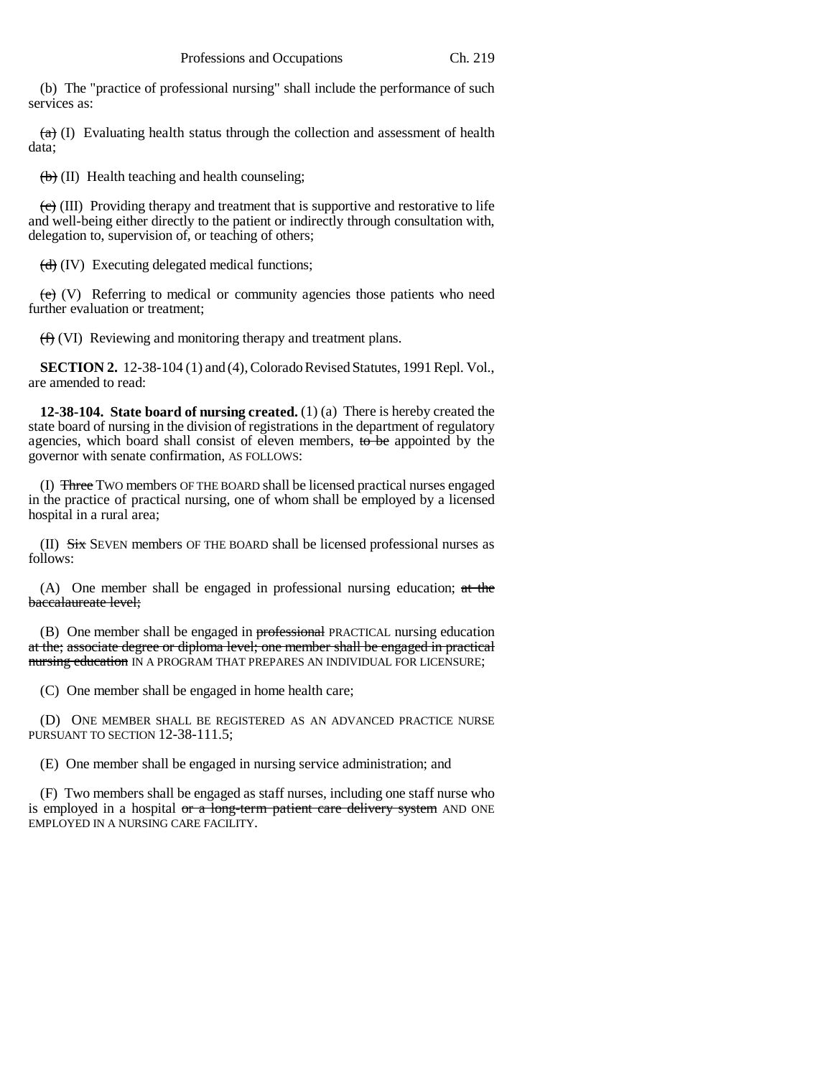(b) The "practice of professional nursing" shall include the performance of such services as:

 $(a)$  (I) Evaluating health status through the collection and assessment of health data;

 $(b)$  (II) Health teaching and health counseling;

 $\langle e \rangle$  (III) Providing therapy and treatment that is supportive and restorative to life and well-being either directly to the patient or indirectly through consultation with, delegation to, supervision of, or teaching of others;

 $\left(\frac{d}{d}\right)$  (IV) Executing delegated medical functions;

 $(e)$  (V) Referring to medical or community agencies those patients who need further evaluation or treatment;

(f) (VI) Reviewing and monitoring therapy and treatment plans.

**SECTION 2.** 12-38-104 (1) and (4), Colorado Revised Statutes, 1991 Repl. Vol., are amended to read:

**12-38-104. State board of nursing created.** (1) (a) There is hereby created the state board of nursing in the division of registrations in the department of regulatory agencies, which board shall consist of eleven members, to be appointed by the governor with senate confirmation, AS FOLLOWS:

(I) Three TWO members OF THE BOARD shall be licensed practical nurses engaged in the practice of practical nursing, one of whom shall be employed by a licensed hospital in a rural area;

(II) Six SEVEN members OF THE BOARD shall be licensed professional nurses as follows:

(A) One member shall be engaged in professional nursing education; at the baccalaureate level;

(B) One member shall be engaged in **professional** PRACTICAL nursing education at the; associate degree or diploma level; one member shall be engaged in practical nursing education IN A PROGRAM THAT PREPARES AN INDIVIDUAL FOR LICENSURE;

(C) One member shall be engaged in home health care;

(D) ONE MEMBER SHALL BE REGISTERED AS AN ADVANCED PRACTICE NURSE PURSUANT TO SECTION 12-38-111.5;

(E) One member shall be engaged in nursing service administration; and

(F) Two members shall be engaged as staff nurses, including one staff nurse who is employed in a hospital  $\sigma r$  a long-term patient care delivery system AND ONE EMPLOYED IN A NURSING CARE FACILITY.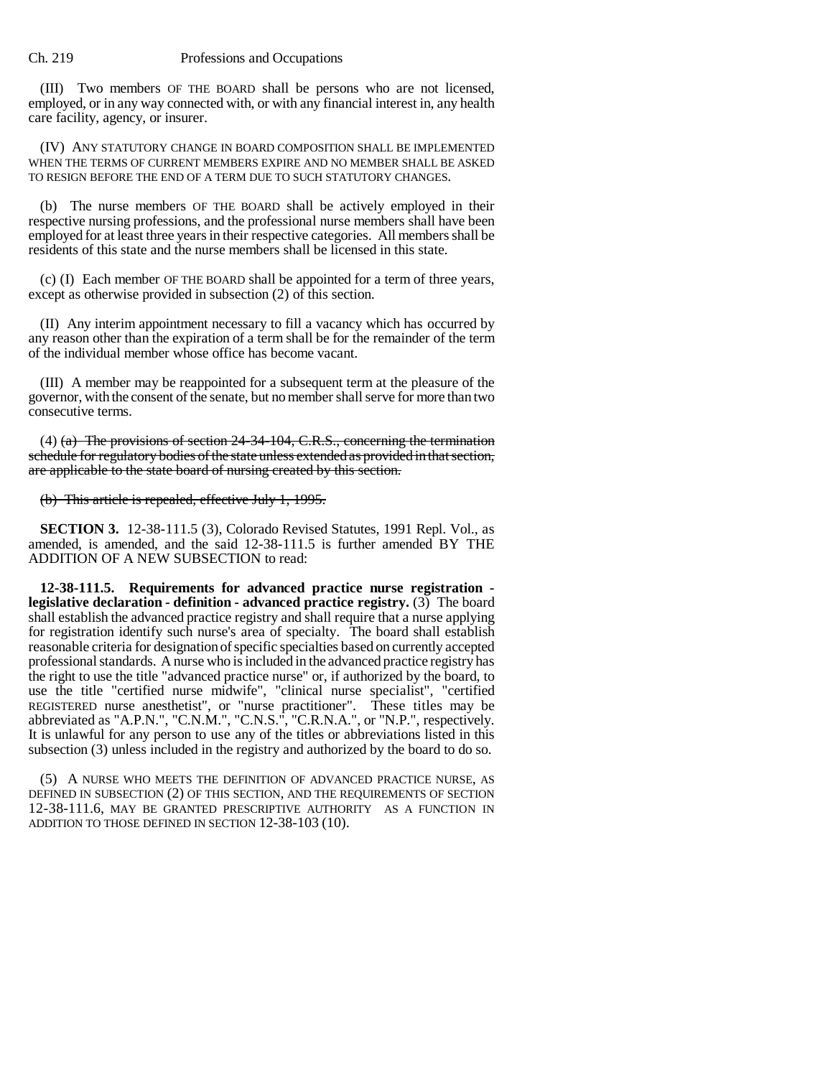(III) Two members OF THE BOARD shall be persons who are not licensed, employed, or in any way connected with, or with any financial interest in, any health care facility, agency, or insurer.

(IV) ANY STATUTORY CHANGE IN BOARD COMPOSITION SHALL BE IMPLEMENTED WHEN THE TERMS OF CURRENT MEMBERS EXPIRE AND NO MEMBER SHALL BE ASKED TO RESIGN BEFORE THE END OF A TERM DUE TO SUCH STATUTORY CHANGES.

(b) The nurse members OF THE BOARD shall be actively employed in their respective nursing professions, and the professional nurse members shall have been employed for at least three years in their respective categories. All members shall be residents of this state and the nurse members shall be licensed in this state.

(c) (I) Each member OF THE BOARD shall be appointed for a term of three years, except as otherwise provided in subsection (2) of this section.

(II) Any interim appointment necessary to fill a vacancy which has occurred by any reason other than the expiration of a term shall be for the remainder of the term of the individual member whose office has become vacant.

(III) A member may be reappointed for a subsequent term at the pleasure of the governor, with the consent of the senate, but no member shall serve for more than two consecutive terms.

(4) (a) The provisions of section 24-34-104, C.R.S., concerning the termination schedule for regulatory bodies of the state unless extended as provided in that section, are applicable to the state board of nursing created by this section.

(b) This article is repealed, effective July 1, 1995.

**SECTION 3.** 12-38-111.5 (3), Colorado Revised Statutes, 1991 Repl. Vol., as amended, is amended, and the said 12-38-111.5 is further amended BY THE ADDITION OF A NEW SUBSECTION to read:

**12-38-111.5. Requirements for advanced practice nurse registration legislative declaration - definition - advanced practice registry.** (3) The board shall establish the advanced practice registry and shall require that a nurse applying for registration identify such nurse's area of specialty. The board shall establish reasonable criteria for designation of specific specialties based on currently accepted professional standards. A nurse who is included in the advanced practice registry has the right to use the title "advanced practice nurse" or, if authorized by the board, to use the title "certified nurse midwife", "clinical nurse specialist", "certified REGISTERED nurse anesthetist", or "nurse practitioner". These titles may be abbreviated as "A.P.N.", "C.N.M.", "C.N.S.", "C.R.N.A.", or "N.P.", respectively. It is unlawful for any person to use any of the titles or abbreviations listed in this subsection (3) unless included in the registry and authorized by the board to do so.

(5) A NURSE WHO MEETS THE DEFINITION OF ADVANCED PRACTICE NURSE, AS DEFINED IN SUBSECTION (2) OF THIS SECTION, AND THE REQUIREMENTS OF SECTION 12-38-111.6, MAY BE GRANTED PRESCRIPTIVE AUTHORITY AS A FUNCTION IN ADDITION TO THOSE DEFINED IN SECTION 12-38-103 (10).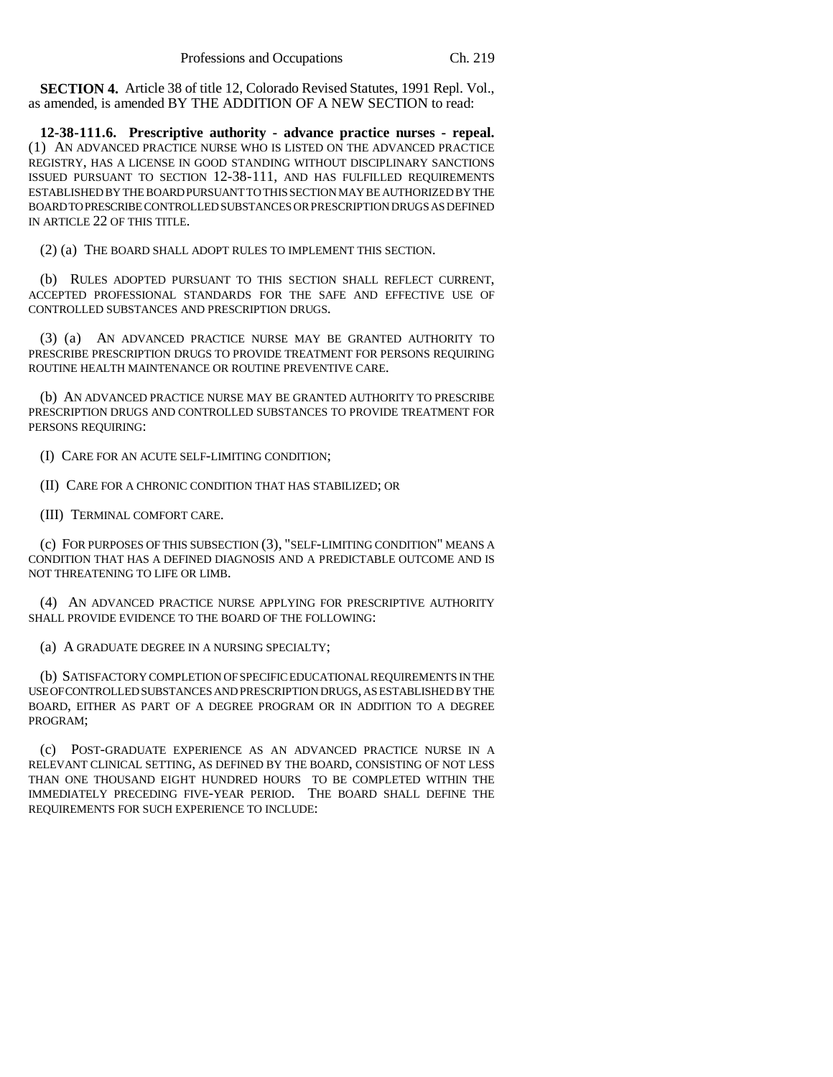**SECTION 4.** Article 38 of title 12, Colorado Revised Statutes, 1991 Repl. Vol., as amended, is amended BY THE ADDITION OF A NEW SECTION to read:

**12-38-111.6. Prescriptive authority - advance practice nurses - repeal.** (1) AN ADVANCED PRACTICE NURSE WHO IS LISTED ON THE ADVANCED PRACTICE REGISTRY, HAS A LICENSE IN GOOD STANDING WITHOUT DISCIPLINARY SANCTIONS ISSUED PURSUANT TO SECTION 12-38-111, AND HAS FULFILLED REQUIREMENTS ESTABLISHED BY THE BOARD PURSUANT TO THIS SECTION MAY BE AUTHORIZED BY THE BOARD TO PRESCRIBE CONTROLLED SUBSTANCES OR PRESCRIPTION DRUGS AS DEFINED IN ARTICLE 22 OF THIS TITLE.

(2) (a) THE BOARD SHALL ADOPT RULES TO IMPLEMENT THIS SECTION.

(b) RULES ADOPTED PURSUANT TO THIS SECTION SHALL REFLECT CURRENT, ACCEPTED PROFESSIONAL STANDARDS FOR THE SAFE AND EFFECTIVE USE OF CONTROLLED SUBSTANCES AND PRESCRIPTION DRUGS.

(3) (a) AN ADVANCED PRACTICE NURSE MAY BE GRANTED AUTHORITY TO PRESCRIBE PRESCRIPTION DRUGS TO PROVIDE TREATMENT FOR PERSONS REQUIRING ROUTINE HEALTH MAINTENANCE OR ROUTINE PREVENTIVE CARE.

(b) AN ADVANCED PRACTICE NURSE MAY BE GRANTED AUTHORITY TO PRESCRIBE PRESCRIPTION DRUGS AND CONTROLLED SUBSTANCES TO PROVIDE TREATMENT FOR PERSONS REQUIRING:

(I) CARE FOR AN ACUTE SELF-LIMITING CONDITION;

(II) CARE FOR A CHRONIC CONDITION THAT HAS STABILIZED; OR

(III) TERMINAL COMFORT CARE.

(c) FOR PURPOSES OF THIS SUBSECTION (3), "SELF-LIMITING CONDITION" MEANS A CONDITION THAT HAS A DEFINED DIAGNOSIS AND A PREDICTABLE OUTCOME AND IS NOT THREATENING TO LIFE OR LIMB.

(4) AN ADVANCED PRACTICE NURSE APPLYING FOR PRESCRIPTIVE AUTHORITY SHALL PROVIDE EVIDENCE TO THE BOARD OF THE FOLLOWING:

(a) A GRADUATE DEGREE IN A NURSING SPECIALTY;

(b) SATISFACTORY COMPLETION OF SPECIFIC EDUCATIONAL REQUIREMENTS IN THE USE OF CONTROLLED SUBSTANCES AND PRESCRIPTION DRUGS, AS ESTABLISHED BY THE BOARD, EITHER AS PART OF A DEGREE PROGRAM OR IN ADDITION TO A DEGREE PROGRAM;

(c) POST-GRADUATE EXPERIENCE AS AN ADVANCED PRACTICE NURSE IN A RELEVANT CLINICAL SETTING, AS DEFINED BY THE BOARD, CONSISTING OF NOT LESS THAN ONE THOUSAND EIGHT HUNDRED HOURS TO BE COMPLETED WITHIN THE IMMEDIATELY PRECEDING FIVE-YEAR PERIOD. THE BOARD SHALL DEFINE THE REQUIREMENTS FOR SUCH EXPERIENCE TO INCLUDE: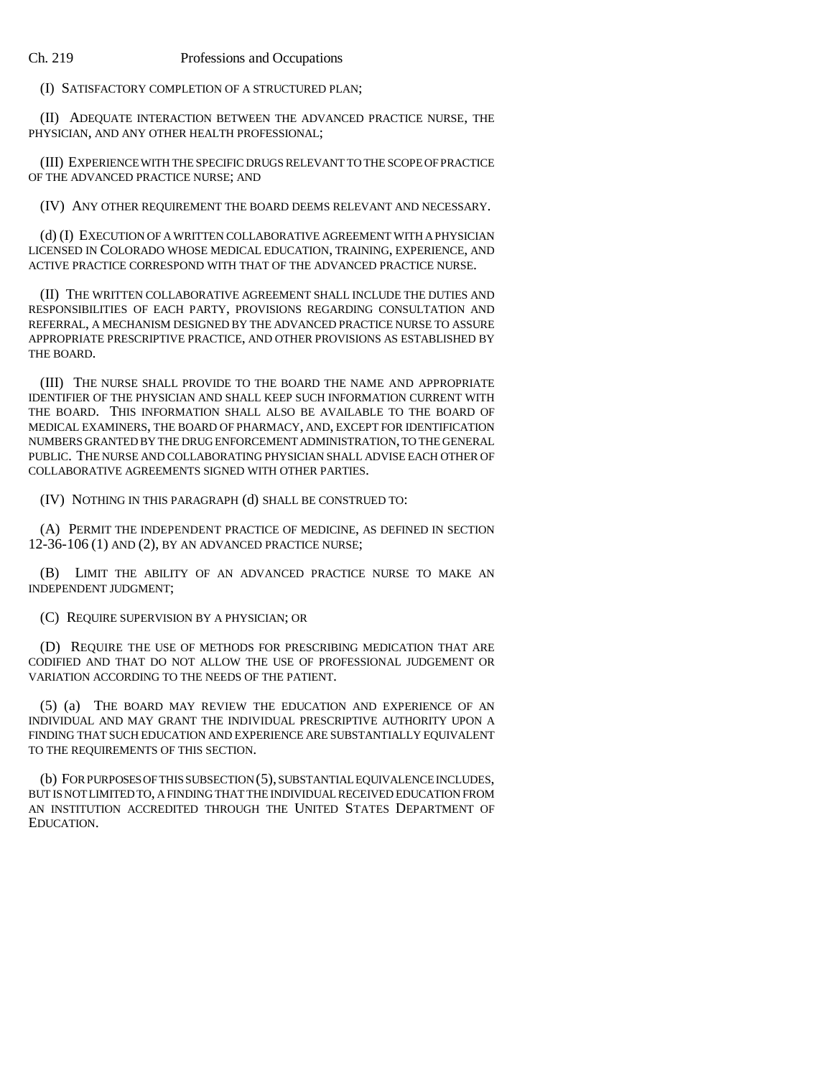(I) SATISFACTORY COMPLETION OF A STRUCTURED PLAN;

(II) ADEQUATE INTERACTION BETWEEN THE ADVANCED PRACTICE NURSE, THE PHYSICIAN, AND ANY OTHER HEALTH PROFESSIONAL;

(III) EXPERIENCE WITH THE SPECIFIC DRUGS RELEVANT TO THE SCOPE OF PRACTICE OF THE ADVANCED PRACTICE NURSE; AND

(IV) ANY OTHER REQUIREMENT THE BOARD DEEMS RELEVANT AND NECESSARY.

(d) (I) EXECUTION OF A WRITTEN COLLABORATIVE AGREEMENT WITH A PHYSICIAN LICENSED IN COLORADO WHOSE MEDICAL EDUCATION, TRAINING, EXPERIENCE, AND ACTIVE PRACTICE CORRESPOND WITH THAT OF THE ADVANCED PRACTICE NURSE.

(II) THE WRITTEN COLLABORATIVE AGREEMENT SHALL INCLUDE THE DUTIES AND RESPONSIBILITIES OF EACH PARTY, PROVISIONS REGARDING CONSULTATION AND REFERRAL, A MECHANISM DESIGNED BY THE ADVANCED PRACTICE NURSE TO ASSURE APPROPRIATE PRESCRIPTIVE PRACTICE, AND OTHER PROVISIONS AS ESTABLISHED BY THE BOARD.

(III) THE NURSE SHALL PROVIDE TO THE BOARD THE NAME AND APPROPRIATE IDENTIFIER OF THE PHYSICIAN AND SHALL KEEP SUCH INFORMATION CURRENT WITH THE BOARD. THIS INFORMATION SHALL ALSO BE AVAILABLE TO THE BOARD OF MEDICAL EXAMINERS, THE BOARD OF PHARMACY, AND, EXCEPT FOR IDENTIFICATION NUMBERS GRANTED BY THE DRUG ENFORCEMENT ADMINISTRATION, TO THE GENERAL PUBLIC. THE NURSE AND COLLABORATING PHYSICIAN SHALL ADVISE EACH OTHER OF COLLABORATIVE AGREEMENTS SIGNED WITH OTHER PARTIES.

(IV) NOTHING IN THIS PARAGRAPH (d) SHALL BE CONSTRUED TO:

(A) PERMIT THE INDEPENDENT PRACTICE OF MEDICINE, AS DEFINED IN SECTION 12-36-106 (1) AND (2), BY AN ADVANCED PRACTICE NURSE;

(B) LIMIT THE ABILITY OF AN ADVANCED PRACTICE NURSE TO MAKE AN INDEPENDENT JUDGMENT;

(C) REQUIRE SUPERVISION BY A PHYSICIAN; OR

(D) REQUIRE THE USE OF METHODS FOR PRESCRIBING MEDICATION THAT ARE CODIFIED AND THAT DO NOT ALLOW THE USE OF PROFESSIONAL JUDGEMENT OR VARIATION ACCORDING TO THE NEEDS OF THE PATIENT.

(5) (a) THE BOARD MAY REVIEW THE EDUCATION AND EXPERIENCE OF AN INDIVIDUAL AND MAY GRANT THE INDIVIDUAL PRESCRIPTIVE AUTHORITY UPON A FINDING THAT SUCH EDUCATION AND EXPERIENCE ARE SUBSTANTIALLY EQUIVALENT TO THE REQUIREMENTS OF THIS SECTION.

(b) FOR PURPOSES OF THIS SUBSECTION (5), SUBSTANTIAL EQUIVALENCE INCLUDES, BUT IS NOT LIMITED TO, A FINDING THAT THE INDIVIDUAL RECEIVED EDUCATION FROM AN INSTITUTION ACCREDITED THROUGH THE UNITED STATES DEPARTMENT OF EDUCATION.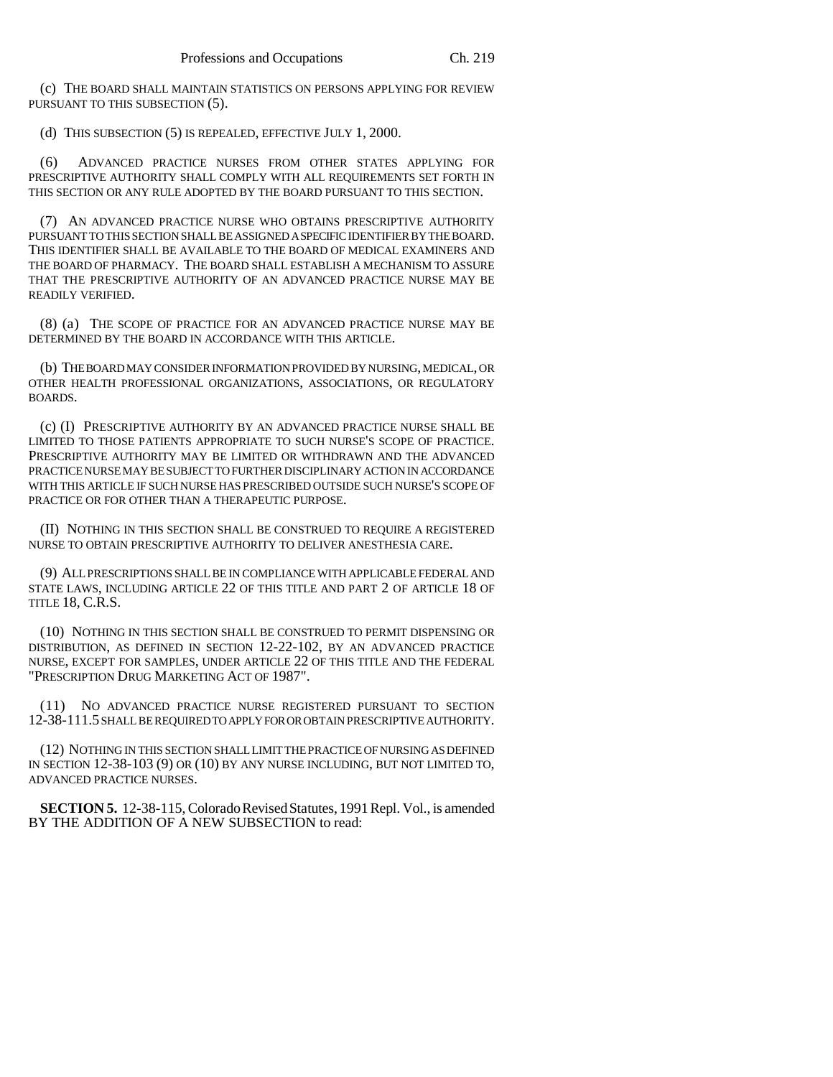(c) THE BOARD SHALL MAINTAIN STATISTICS ON PERSONS APPLYING FOR REVIEW PURSUANT TO THIS SUBSECTION (5).

(d) THIS SUBSECTION (5) IS REPEALED, EFFECTIVE JULY 1, 2000.

(6) ADVANCED PRACTICE NURSES FROM OTHER STATES APPLYING FOR PRESCRIPTIVE AUTHORITY SHALL COMPLY WITH ALL REQUIREMENTS SET FORTH IN THIS SECTION OR ANY RULE ADOPTED BY THE BOARD PURSUANT TO THIS SECTION.

(7) AN ADVANCED PRACTICE NURSE WHO OBTAINS PRESCRIPTIVE AUTHORITY PURSUANT TO THIS SECTION SHALL BE ASSIGNED A SPECIFIC IDENTIFIER BY THE BOARD. THIS IDENTIFIER SHALL BE AVAILABLE TO THE BOARD OF MEDICAL EXAMINERS AND THE BOARD OF PHARMACY. THE BOARD SHALL ESTABLISH A MECHANISM TO ASSURE THAT THE PRESCRIPTIVE AUTHORITY OF AN ADVANCED PRACTICE NURSE MAY BE READILY VERIFIED.

(8) (a) THE SCOPE OF PRACTICE FOR AN ADVANCED PRACTICE NURSE MAY BE DETERMINED BY THE BOARD IN ACCORDANCE WITH THIS ARTICLE.

(b) THE BOARD MAY CONSIDER INFORMATION PROVIDED BY NURSING, MEDICAL, OR OTHER HEALTH PROFESSIONAL ORGANIZATIONS, ASSOCIATIONS, OR REGULATORY BOARDS.

(c) (I) PRESCRIPTIVE AUTHORITY BY AN ADVANCED PRACTICE NURSE SHALL BE LIMITED TO THOSE PATIENTS APPROPRIATE TO SUCH NURSE'S SCOPE OF PRACTICE. PRESCRIPTIVE AUTHORITY MAY BE LIMITED OR WITHDRAWN AND THE ADVANCED PRACTICE NURSE MAY BE SUBJECT TO FURTHER DISCIPLINARY ACTION IN ACCORDANCE WITH THIS ARTICLE IF SUCH NURSE HAS PRESCRIBED OUTSIDE SUCH NURSE'S SCOPE OF PRACTICE OR FOR OTHER THAN A THERAPEUTIC PURPOSE.

(II) NOTHING IN THIS SECTION SHALL BE CONSTRUED TO REQUIRE A REGISTERED NURSE TO OBTAIN PRESCRIPTIVE AUTHORITY TO DELIVER ANESTHESIA CARE.

(9) ALL PRESCRIPTIONS SHALL BE IN COMPLIANCE WITH APPLICABLE FEDERAL AND STATE LAWS, INCLUDING ARTICLE 22 OF THIS TITLE AND PART 2 OF ARTICLE 18 OF TITLE 18, C.R.S.

(10) NOTHING IN THIS SECTION SHALL BE CONSTRUED TO PERMIT DISPENSING OR DISTRIBUTION, AS DEFINED IN SECTION 12-22-102, BY AN ADVANCED PRACTICE NURSE, EXCEPT FOR SAMPLES, UNDER ARTICLE 22 OF THIS TITLE AND THE FEDERAL "PRESCRIPTION DRUG MARKETING ACT OF 1987".

(11) NO ADVANCED PRACTICE NURSE REGISTERED PURSUANT TO SECTION 12-38-111.5 SHALL BE REQUIRED TO APPLY FOR OR OBTAIN PRESCRIPTIVE AUTHORITY.

(12) NOTHING IN THIS SECTION SHALL LIMIT THE PRACTICE OF NURSING AS DEFINED IN SECTION 12-38-103 (9) OR (10) BY ANY NURSE INCLUDING, BUT NOT LIMITED TO, ADVANCED PRACTICE NURSES.

**SECTION 5.** 12-38-115, Colorado Revised Statutes, 1991 Repl. Vol., is amended BY THE ADDITION OF A NEW SUBSECTION to read: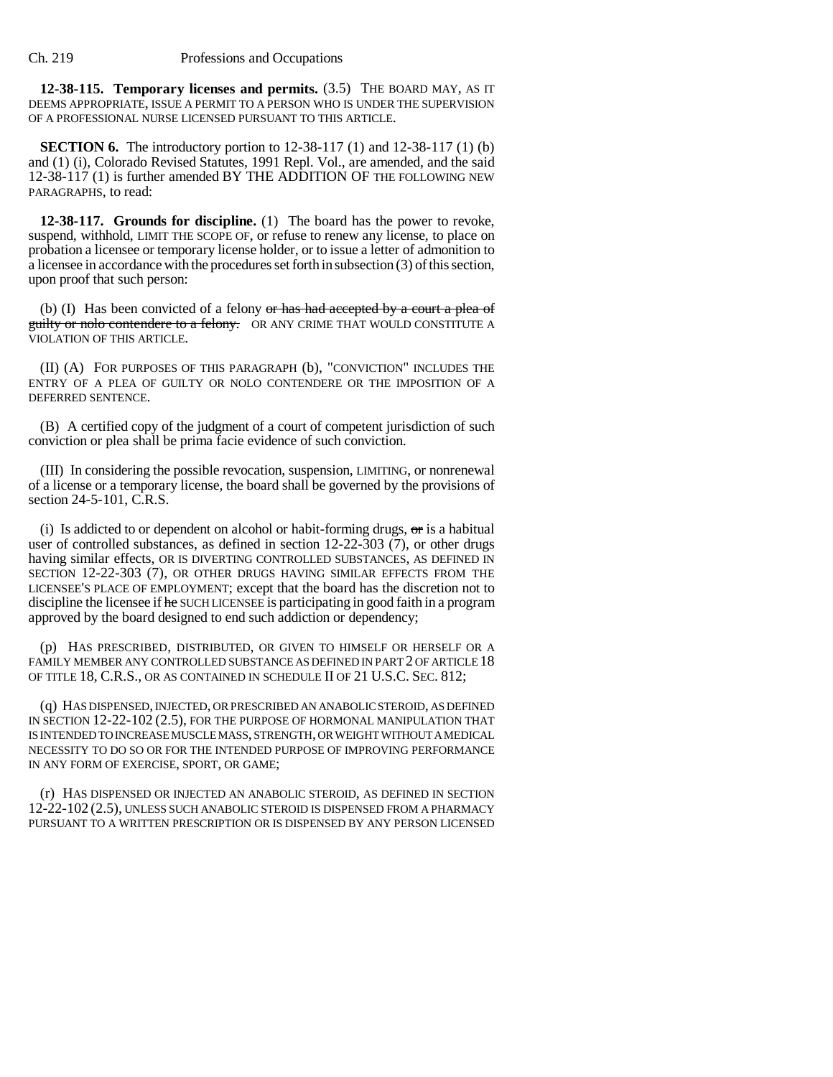**12-38-115. Temporary licenses and permits.** (3.5) THE BOARD MAY, AS IT DEEMS APPROPRIATE, ISSUE A PERMIT TO A PERSON WHO IS UNDER THE SUPERVISION OF A PROFESSIONAL NURSE LICENSED PURSUANT TO THIS ARTICLE.

**SECTION 6.** The introductory portion to 12-38-117 (1) and 12-38-117 (1) (b) and (1) (i), Colorado Revised Statutes, 1991 Repl. Vol., are amended, and the said 12-38-117 (1) is further amended BY THE ADDITION OF THE FOLLOWING NEW PARAGRAPHS, to read:

**12-38-117. Grounds for discipline.** (1) The board has the power to revoke, suspend, withhold, LIMIT THE SCOPE OF, or refuse to renew any license, to place on probation a licensee or temporary license holder, or to issue a letter of admonition to a licensee in accordance with the procedures set forth in subsection (3) of this section, upon proof that such person:

(b) (I) Has been convicted of a felony  $\sigma$  has had accepted by a court a plea of guilty or nolo contendere to a felony. OR ANY CRIME THAT WOULD CONSTITUTE A VIOLATION OF THIS ARTICLE.

(II) (A) FOR PURPOSES OF THIS PARAGRAPH (b), "CONVICTION" INCLUDES THE ENTRY OF A PLEA OF GUILTY OR NOLO CONTENDERE OR THE IMPOSITION OF A DEFERRED SENTENCE.

(B) A certified copy of the judgment of a court of competent jurisdiction of such conviction or plea shall be prima facie evidence of such conviction.

(III) In considering the possible revocation, suspension, LIMITING, or nonrenewal of a license or a temporary license, the board shall be governed by the provisions of section 24-5-101, C.R.S.

(i) Is addicted to or dependent on alcohol or habit-forming drugs,  $\sigma$ r is a habitual user of controlled substances, as defined in section 12-22-303 (7), or other drugs having similar effects, OR IS DIVERTING CONTROLLED SUBSTANCES, AS DEFINED IN SECTION 12-22-303 (7), OR OTHER DRUGS HAVING SIMILAR EFFECTS FROM THE LICENSEE'S PLACE OF EMPLOYMENT; except that the board has the discretion not to discipline the licensee if he SUCH LICENSEE is participating in good faith in a program approved by the board designed to end such addiction or dependency;

(p) HAS PRESCRIBED, DISTRIBUTED, OR GIVEN TO HIMSELF OR HERSELF OR A FAMILY MEMBER ANY CONTROLLED SUBSTANCE AS DEFINED IN PART 2 OF ARTICLE 18 OF TITLE 18, C.R.S., OR AS CONTAINED IN SCHEDULE II OF 21 U.S.C. SEC. 812;

(q) HAS DISPENSED, INJECTED, OR PRESCRIBED AN ANABOLIC STEROID, AS DEFINED IN SECTION 12-22-102 (2.5), FOR THE PURPOSE OF HORMONAL MANIPULATION THAT IS INTENDED TO INCREASE MUSCLE MASS, STRENGTH, OR WEIGHT WITHOUT A MEDICAL NECESSITY TO DO SO OR FOR THE INTENDED PURPOSE OF IMPROVING PERFORMANCE IN ANY FORM OF EXERCISE, SPORT, OR GAME;

(r) HAS DISPENSED OR INJECTED AN ANABOLIC STEROID, AS DEFINED IN SECTION 12-22-102 (2.5), UNLESS SUCH ANABOLIC STEROID IS DISPENSED FROM A PHARMACY PURSUANT TO A WRITTEN PRESCRIPTION OR IS DISPENSED BY ANY PERSON LICENSED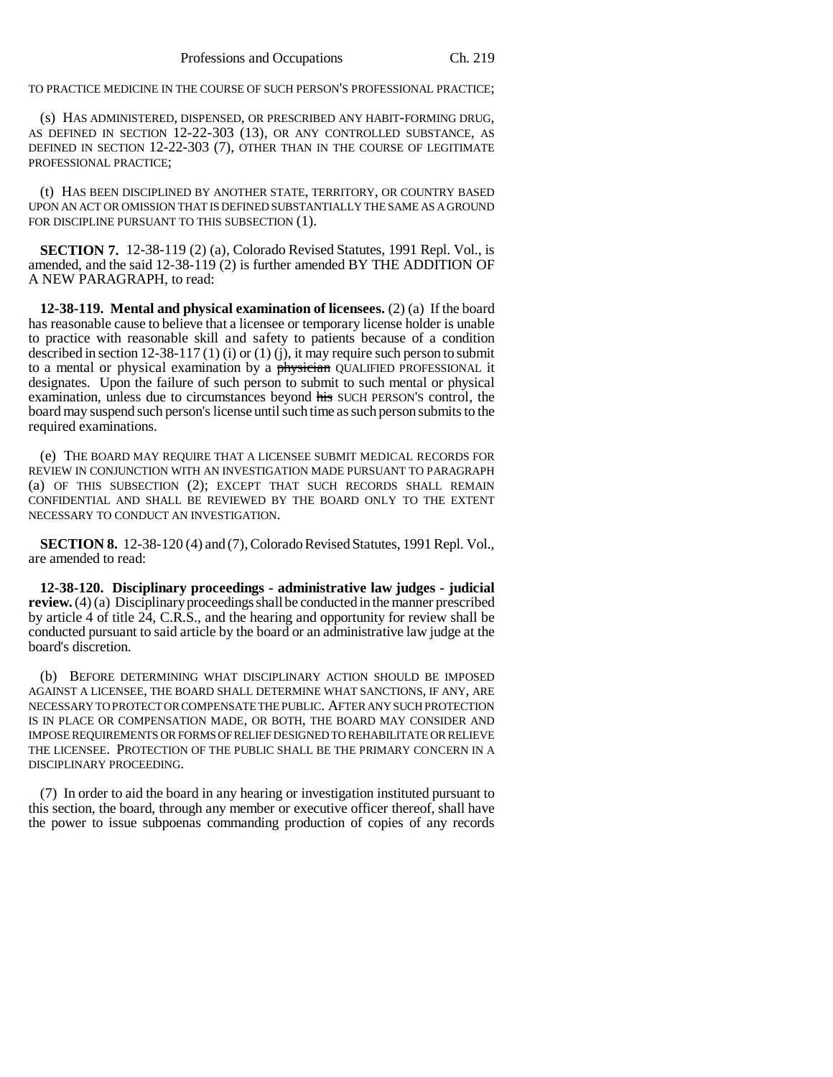TO PRACTICE MEDICINE IN THE COURSE OF SUCH PERSON'S PROFESSIONAL PRACTICE;

(s) HAS ADMINISTERED, DISPENSED, OR PRESCRIBED ANY HABIT-FORMING DRUG, AS DEFINED IN SECTION 12-22-303 (13), OR ANY CONTROLLED SUBSTANCE, AS DEFINED IN SECTION 12-22-303 (7), OTHER THAN IN THE COURSE OF LEGITIMATE PROFESSIONAL PRACTICE;

(t) HAS BEEN DISCIPLINED BY ANOTHER STATE, TERRITORY, OR COUNTRY BASED UPON AN ACT OR OMISSION THAT IS DEFINED SUBSTANTIALLY THE SAME AS A GROUND FOR DISCIPLINE PURSUANT TO THIS SUBSECTION (1).

**SECTION 7.** 12-38-119 (2) (a), Colorado Revised Statutes, 1991 Repl. Vol., is amended, and the said 12-38-119 (2) is further amended BY THE ADDITION OF A NEW PARAGRAPH, to read:

**12-38-119. Mental and physical examination of licensees.** (2) (a) If the board has reasonable cause to believe that a licensee or temporary license holder is unable to practice with reasonable skill and safety to patients because of a condition described in section 12-38-117 (1) (i) or (1) (j), it may require such person to submit to a mental or physical examination by a physician QUALIFIED PROFESSIONAL it designates. Upon the failure of such person to submit to such mental or physical examination, unless due to circumstances beyond his SUCH PERSON'S control, the board may suspend such person's license until such time as such person submits to the required examinations.

(e) THE BOARD MAY REQUIRE THAT A LICENSEE SUBMIT MEDICAL RECORDS FOR REVIEW IN CONJUNCTION WITH AN INVESTIGATION MADE PURSUANT TO PARAGRAPH (a) OF THIS SUBSECTION (2); EXCEPT THAT SUCH RECORDS SHALL REMAIN CONFIDENTIAL AND SHALL BE REVIEWED BY THE BOARD ONLY TO THE EXTENT NECESSARY TO CONDUCT AN INVESTIGATION.

**SECTION 8.** 12-38-120 (4) and (7), Colorado Revised Statutes, 1991 Repl. Vol., are amended to read:

**12-38-120. Disciplinary proceedings - administrative law judges - judicial review.** (4) (a) Disciplinary proceedings shall be conducted in the manner prescribed by article 4 of title 24, C.R.S., and the hearing and opportunity for review shall be conducted pursuant to said article by the board or an administrative law judge at the board's discretion.

(b) BEFORE DETERMINING WHAT DISCIPLINARY ACTION SHOULD BE IMPOSED AGAINST A LICENSEE, THE BOARD SHALL DETERMINE WHAT SANCTIONS, IF ANY, ARE NECESSARY TO PROTECT OR COMPENSATE THE PUBLIC. AFTER ANY SUCH PROTECTION IS IN PLACE OR COMPENSATION MADE, OR BOTH, THE BOARD MAY CONSIDER AND IMPOSE REQUIREMENTS OR FORMS OF RELIEF DESIGNED TO REHABILITATE OR RELIEVE THE LICENSEE. PROTECTION OF THE PUBLIC SHALL BE THE PRIMARY CONCERN IN A DISCIPLINARY PROCEEDING.

(7) In order to aid the board in any hearing or investigation instituted pursuant to this section, the board, through any member or executive officer thereof, shall have the power to issue subpoenas commanding production of copies of any records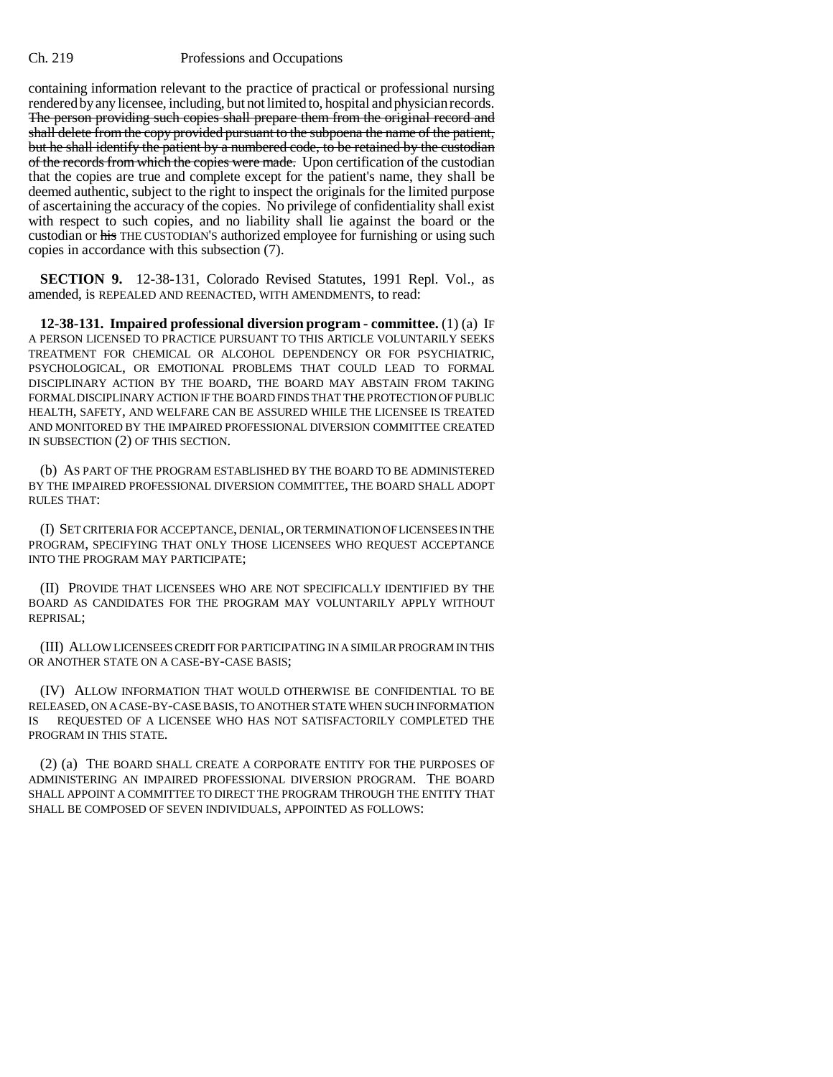containing information relevant to the practice of practical or professional nursing rendered by any licensee, including, but not limited to, hospital and physician records. The person providing such copies shall prepare them from the original record and shall delete from the copy provided pursuant to the subpoena the name of the patient, but he shall identify the patient by a numbered code, to be retained by the custodian of the records from which the copies were made. Upon certification of the custodian that the copies are true and complete except for the patient's name, they shall be deemed authentic, subject to the right to inspect the originals for the limited purpose of ascertaining the accuracy of the copies. No privilege of confidentiality shall exist with respect to such copies, and no liability shall lie against the board or the custodian or his THE CUSTODIAN'S authorized employee for furnishing or using such copies in accordance with this subsection (7).

**SECTION 9.** 12-38-131, Colorado Revised Statutes, 1991 Repl. Vol., as amended, is REPEALED AND REENACTED, WITH AMENDMENTS, to read:

**12-38-131. Impaired professional diversion program - committee.** (1) (a) IF A PERSON LICENSED TO PRACTICE PURSUANT TO THIS ARTICLE VOLUNTARILY SEEKS TREATMENT FOR CHEMICAL OR ALCOHOL DEPENDENCY OR FOR PSYCHIATRIC, PSYCHOLOGICAL, OR EMOTIONAL PROBLEMS THAT COULD LEAD TO FORMAL DISCIPLINARY ACTION BY THE BOARD, THE BOARD MAY ABSTAIN FROM TAKING FORMAL DISCIPLINARY ACTION IF THE BOARD FINDS THAT THE PROTECTION OF PUBLIC HEALTH, SAFETY, AND WELFARE CAN BE ASSURED WHILE THE LICENSEE IS TREATED AND MONITORED BY THE IMPAIRED PROFESSIONAL DIVERSION COMMITTEE CREATED IN SUBSECTION (2) OF THIS SECTION.

(b) AS PART OF THE PROGRAM ESTABLISHED BY THE BOARD TO BE ADMINISTERED BY THE IMPAIRED PROFESSIONAL DIVERSION COMMITTEE, THE BOARD SHALL ADOPT RULES THAT:

(I) SET CRITERIA FOR ACCEPTANCE, DENIAL, OR TERMINATION OF LICENSEES IN THE PROGRAM, SPECIFYING THAT ONLY THOSE LICENSEES WHO REQUEST ACCEPTANCE INTO THE PROGRAM MAY PARTICIPATE;

(II) PROVIDE THAT LICENSEES WHO ARE NOT SPECIFICALLY IDENTIFIED BY THE BOARD AS CANDIDATES FOR THE PROGRAM MAY VOLUNTARILY APPLY WITHOUT REPRISAL;

(III) ALLOW LICENSEES CREDIT FOR PARTICIPATING IN A SIMILAR PROGRAM IN THIS OR ANOTHER STATE ON A CASE-BY-CASE BASIS;

(IV) ALLOW INFORMATION THAT WOULD OTHERWISE BE CONFIDENTIAL TO BE RELEASED, ON A CASE-BY-CASE BASIS, TO ANOTHER STATE WHEN SUCH INFORMATION IS REQUESTED OF A LICENSEE WHO HAS NOT SATISFACTORILY COMPLETED THE PROGRAM IN THIS STATE.

(2) (a) THE BOARD SHALL CREATE A CORPORATE ENTITY FOR THE PURPOSES OF ADMINISTERING AN IMPAIRED PROFESSIONAL DIVERSION PROGRAM. THE BOARD SHALL APPOINT A COMMITTEE TO DIRECT THE PROGRAM THROUGH THE ENTITY THAT SHALL BE COMPOSED OF SEVEN INDIVIDUALS, APPOINTED AS FOLLOWS: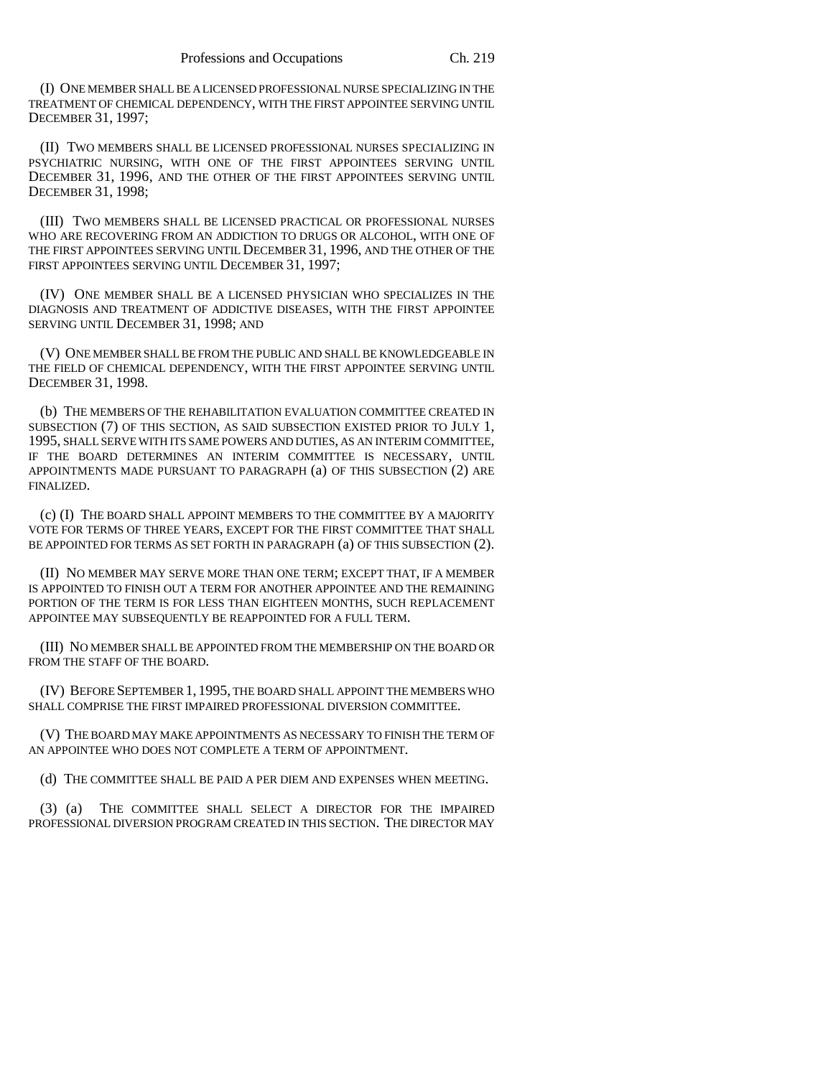(I) ONE MEMBER SHALL BE A LICENSED PROFESSIONAL NURSE SPECIALIZING IN THE TREATMENT OF CHEMICAL DEPENDENCY, WITH THE FIRST APPOINTEE SERVING UNTIL DECEMBER 31, 1997;

(II) TWO MEMBERS SHALL BE LICENSED PROFESSIONAL NURSES SPECIALIZING IN PSYCHIATRIC NURSING, WITH ONE OF THE FIRST APPOINTEES SERVING UNTIL DECEMBER 31, 1996, AND THE OTHER OF THE FIRST APPOINTEES SERVING UNTIL DECEMBER 31, 1998;

(III) TWO MEMBERS SHALL BE LICENSED PRACTICAL OR PROFESSIONAL NURSES WHO ARE RECOVERING FROM AN ADDICTION TO DRUGS OR ALCOHOL, WITH ONE OF THE FIRST APPOINTEES SERVING UNTIL DECEMBER 31, 1996, AND THE OTHER OF THE FIRST APPOINTEES SERVING UNTIL DECEMBER 31, 1997;

(IV) ONE MEMBER SHALL BE A LICENSED PHYSICIAN WHO SPECIALIZES IN THE DIAGNOSIS AND TREATMENT OF ADDICTIVE DISEASES, WITH THE FIRST APPOINTEE SERVING UNTIL DECEMBER 31, 1998; AND

(V) ONE MEMBER SHALL BE FROM THE PUBLIC AND SHALL BE KNOWLEDGEABLE IN THE FIELD OF CHEMICAL DEPENDENCY, WITH THE FIRST APPOINTEE SERVING UNTIL DECEMBER 31, 1998.

(b) THE MEMBERS OF THE REHABILITATION EVALUATION COMMITTEE CREATED IN SUBSECTION (7) OF THIS SECTION, AS SAID SUBSECTION EXISTED PRIOR TO JULY 1, 1995, SHALL SERVE WITH ITS SAME POWERS AND DUTIES, AS AN INTERIM COMMITTEE, IF THE BOARD DETERMINES AN INTERIM COMMITTEE IS NECESSARY, UNTIL APPOINTMENTS MADE PURSUANT TO PARAGRAPH (a) OF THIS SUBSECTION (2) ARE FINALIZED.

(c) (I) THE BOARD SHALL APPOINT MEMBERS TO THE COMMITTEE BY A MAJORITY VOTE FOR TERMS OF THREE YEARS, EXCEPT FOR THE FIRST COMMITTEE THAT SHALL BE APPOINTED FOR TERMS AS SET FORTH IN PARAGRAPH (a) OF THIS SUBSECTION (2).

(II) NO MEMBER MAY SERVE MORE THAN ONE TERM; EXCEPT THAT, IF A MEMBER IS APPOINTED TO FINISH OUT A TERM FOR ANOTHER APPOINTEE AND THE REMAINING PORTION OF THE TERM IS FOR LESS THAN EIGHTEEN MONTHS, SUCH REPLACEMENT APPOINTEE MAY SUBSEQUENTLY BE REAPPOINTED FOR A FULL TERM.

(III) NO MEMBER SHALL BE APPOINTED FROM THE MEMBERSHIP ON THE BOARD OR FROM THE STAFF OF THE BOARD.

(IV) BEFORE SEPTEMBER 1, 1995, THE BOARD SHALL APPOINT THE MEMBERS WHO SHALL COMPRISE THE FIRST IMPAIRED PROFESSIONAL DIVERSION COMMITTEE.

(V) THE BOARD MAY MAKE APPOINTMENTS AS NECESSARY TO FINISH THE TERM OF AN APPOINTEE WHO DOES NOT COMPLETE A TERM OF APPOINTMENT.

(d) THE COMMITTEE SHALL BE PAID A PER DIEM AND EXPENSES WHEN MEETING.

(3) (a) THE COMMITTEE SHALL SELECT A DIRECTOR FOR THE IMPAIRED PROFESSIONAL DIVERSION PROGRAM CREATED IN THIS SECTION. THE DIRECTOR MAY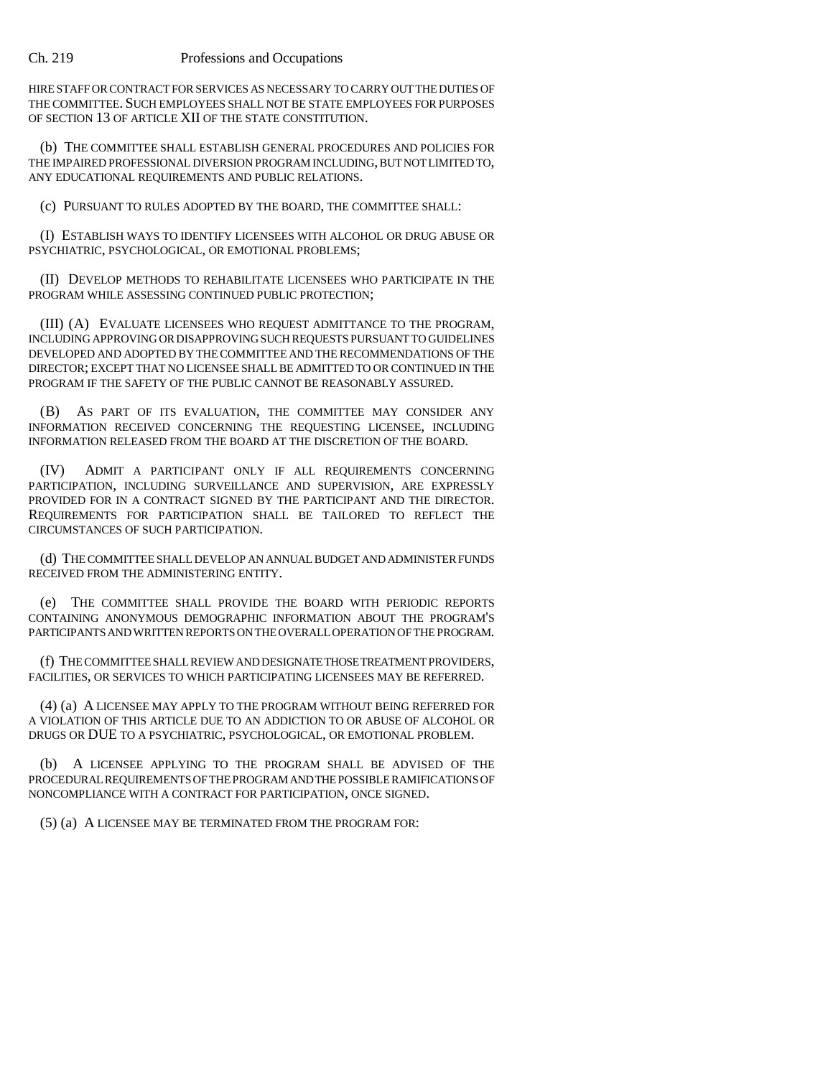HIRE STAFF OR CONTRACT FOR SERVICES AS NECESSARY TO CARRY OUT THE DUTIES OF THE COMMITTEE. SUCH EMPLOYEES SHALL NOT BE STATE EMPLOYEES FOR PURPOSES OF SECTION 13 OF ARTICLE XII OF THE STATE CONSTITUTION.

(b) THE COMMITTEE SHALL ESTABLISH GENERAL PROCEDURES AND POLICIES FOR THE IMPAIRED PROFESSIONAL DIVERSION PROGRAM INCLUDING, BUT NOT LIMITED TO, ANY EDUCATIONAL REQUIREMENTS AND PUBLIC RELATIONS.

(c) PURSUANT TO RULES ADOPTED BY THE BOARD, THE COMMITTEE SHALL:

(I) ESTABLISH WAYS TO IDENTIFY LICENSEES WITH ALCOHOL OR DRUG ABUSE OR PSYCHIATRIC, PSYCHOLOGICAL, OR EMOTIONAL PROBLEMS;

(II) DEVELOP METHODS TO REHABILITATE LICENSEES WHO PARTICIPATE IN THE PROGRAM WHILE ASSESSING CONTINUED PUBLIC PROTECTION;

(III) (A) EVALUATE LICENSEES WHO REQUEST ADMITTANCE TO THE PROGRAM, INCLUDING APPROVING OR DISAPPROVING SUCH REQUESTS PURSUANT TO GUIDELINES DEVELOPED AND ADOPTED BY THE COMMITTEE AND THE RECOMMENDATIONS OF THE DIRECTOR; EXCEPT THAT NO LICENSEE SHALL BE ADMITTED TO OR CONTINUED IN THE PROGRAM IF THE SAFETY OF THE PUBLIC CANNOT BE REASONABLY ASSURED.

(B) AS PART OF ITS EVALUATION, THE COMMITTEE MAY CONSIDER ANY INFORMATION RECEIVED CONCERNING THE REQUESTING LICENSEE, INCLUDING INFORMATION RELEASED FROM THE BOARD AT THE DISCRETION OF THE BOARD.

(IV) ADMIT A PARTICIPANT ONLY IF ALL REQUIREMENTS CONCERNING PARTICIPATION, INCLUDING SURVEILLANCE AND SUPERVISION, ARE EXPRESSLY PROVIDED FOR IN A CONTRACT SIGNED BY THE PARTICIPANT AND THE DIRECTOR. REQUIREMENTS FOR PARTICIPATION SHALL BE TAILORED TO REFLECT THE CIRCUMSTANCES OF SUCH PARTICIPATION.

(d) THE COMMITTEE SHALL DEVELOP AN ANNUAL BUDGET AND ADMINISTER FUNDS RECEIVED FROM THE ADMINISTERING ENTITY.

(e) THE COMMITTEE SHALL PROVIDE THE BOARD WITH PERIODIC REPORTS CONTAINING ANONYMOUS DEMOGRAPHIC INFORMATION ABOUT THE PROGRAM'S PARTICIPANTS AND WRITTEN REPORTS ON THE OVERALL OPERATION OF THE PROGRAM.

(f) THE COMMITTEE SHALL REVIEW AND DESIGNATE THOSE TREATMENT PROVIDERS, FACILITIES, OR SERVICES TO WHICH PARTICIPATING LICENSEES MAY BE REFERRED.

(4) (a) A LICENSEE MAY APPLY TO THE PROGRAM WITHOUT BEING REFERRED FOR A VIOLATION OF THIS ARTICLE DUE TO AN ADDICTION TO OR ABUSE OF ALCOHOL OR DRUGS OR DUE TO A PSYCHIATRIC, PSYCHOLOGICAL, OR EMOTIONAL PROBLEM.

(b) A LICENSEE APPLYING TO THE PROGRAM SHALL BE ADVISED OF THE PROCEDURAL REQUIREMENTS OF THE PROGRAM AND THE POSSIBLE RAMIFICATIONS OF NONCOMPLIANCE WITH A CONTRACT FOR PARTICIPATION, ONCE SIGNED.

(5) (a) A LICENSEE MAY BE TERMINATED FROM THE PROGRAM FOR: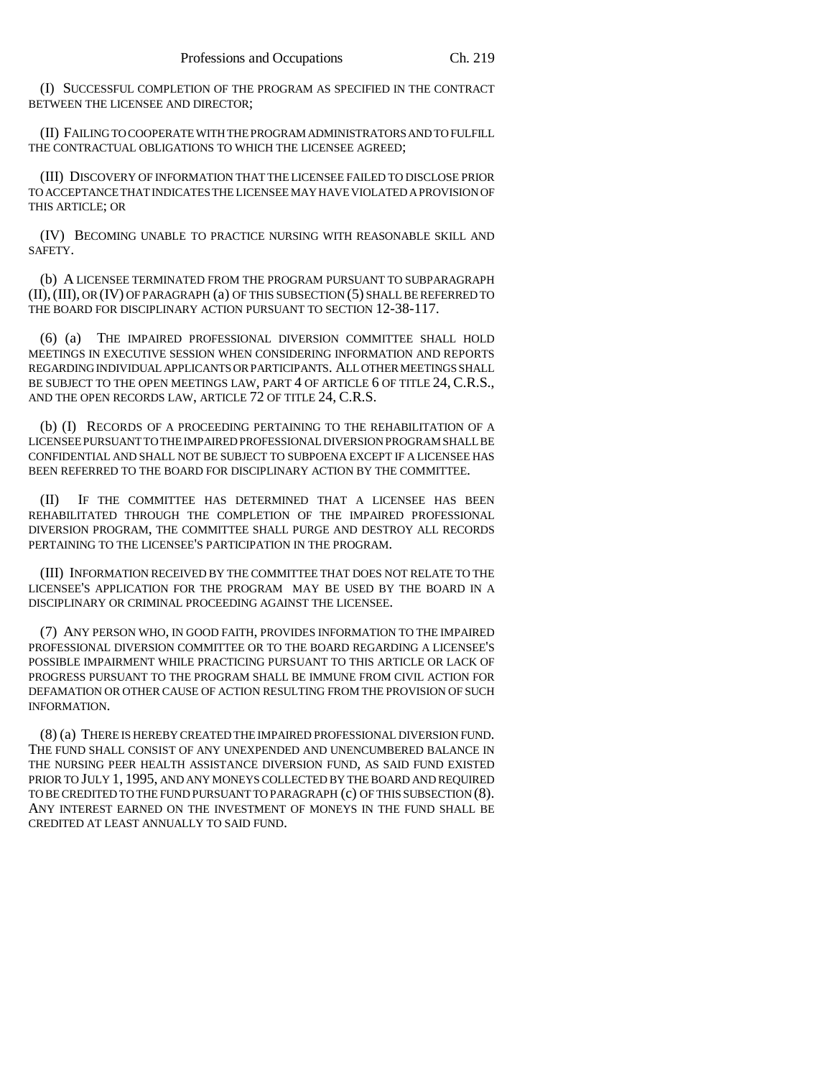(I) SUCCESSFUL COMPLETION OF THE PROGRAM AS SPECIFIED IN THE CONTRACT BETWEEN THE LICENSEE AND DIRECTOR;

(II) FAILING TO COOPERATE WITH THE PROGRAM ADMINISTRATORS AND TO FULFILL THE CONTRACTUAL OBLIGATIONS TO WHICH THE LICENSEE AGREED;

(III) DISCOVERY OF INFORMATION THAT THE LICENSEE FAILED TO DISCLOSE PRIOR TO ACCEPTANCE THAT INDICATES THE LICENSEE MAY HAVE VIOLATED A PROVISION OF THIS ARTICLE; OR

(IV) BECOMING UNABLE TO PRACTICE NURSING WITH REASONABLE SKILL AND SAFETY.

(b) A LICENSEE TERMINATED FROM THE PROGRAM PURSUANT TO SUBPARAGRAPH (II),(III), OR (IV) OF PARAGRAPH (a) OF THIS SUBSECTION (5) SHALL BE REFERRED TO THE BOARD FOR DISCIPLINARY ACTION PURSUANT TO SECTION 12-38-117.

(6) (a) THE IMPAIRED PROFESSIONAL DIVERSION COMMITTEE SHALL HOLD MEETINGS IN EXECUTIVE SESSION WHEN CONSIDERING INFORMATION AND REPORTS REGARDING INDIVIDUAL APPLICANTS OR PARTICIPANTS. ALL OTHER MEETINGS SHALL BE SUBJECT TO THE OPEN MEETINGS LAW, PART 4 OF ARTICLE 6 OF TITLE 24, C.R.S., AND THE OPEN RECORDS LAW, ARTICLE 72 OF TITLE 24, C.R.S.

(b) (I) RECORDS OF A PROCEEDING PERTAINING TO THE REHABILITATION OF A LICENSEE PURSUANT TO THE IMPAIRED PROFESSIONAL DIVERSION PROGRAM SHALL BE CONFIDENTIAL AND SHALL NOT BE SUBJECT TO SUBPOENA EXCEPT IF A LICENSEE HAS BEEN REFERRED TO THE BOARD FOR DISCIPLINARY ACTION BY THE COMMITTEE.

(II) IF THE COMMITTEE HAS DETERMINED THAT A LICENSEE HAS BEEN REHABILITATED THROUGH THE COMPLETION OF THE IMPAIRED PROFESSIONAL DIVERSION PROGRAM, THE COMMITTEE SHALL PURGE AND DESTROY ALL RECORDS PERTAINING TO THE LICENSEE'S PARTICIPATION IN THE PROGRAM.

(III) INFORMATION RECEIVED BY THE COMMITTEE THAT DOES NOT RELATE TO THE LICENSEE'S APPLICATION FOR THE PROGRAM MAY BE USED BY THE BOARD IN A DISCIPLINARY OR CRIMINAL PROCEEDING AGAINST THE LICENSEE.

(7) ANY PERSON WHO, IN GOOD FAITH, PROVIDES INFORMATION TO THE IMPAIRED PROFESSIONAL DIVERSION COMMITTEE OR TO THE BOARD REGARDING A LICENSEE'S POSSIBLE IMPAIRMENT WHILE PRACTICING PURSUANT TO THIS ARTICLE OR LACK OF PROGRESS PURSUANT TO THE PROGRAM SHALL BE IMMUNE FROM CIVIL ACTION FOR DEFAMATION OR OTHER CAUSE OF ACTION RESULTING FROM THE PROVISION OF SUCH INFORMATION.

(8) (a) THERE IS HEREBY CREATED THE IMPAIRED PROFESSIONAL DIVERSION FUND. THE FUND SHALL CONSIST OF ANY UNEXPENDED AND UNENCUMBERED BALANCE IN THE NURSING PEER HEALTH ASSISTANCE DIVERSION FUND, AS SAID FUND EXISTED PRIOR TO JULY 1, 1995, AND ANY MONEYS COLLECTED BY THE BOARD AND REQUIRED TO BE CREDITED TO THE FUND PURSUANT TO PARAGRAPH (c) OF THIS SUBSECTION (8). ANY INTEREST EARNED ON THE INVESTMENT OF MONEYS IN THE FUND SHALL BE CREDITED AT LEAST ANNUALLY TO SAID FUND.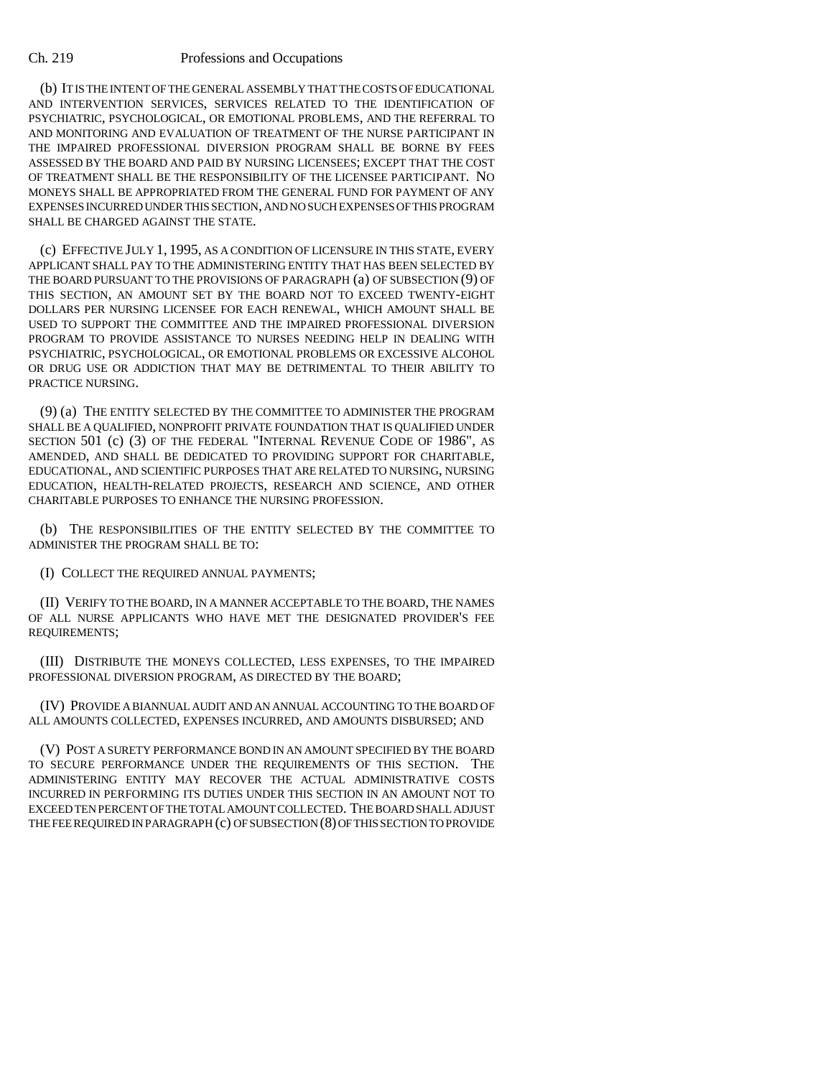(b) IT IS THE INTENT OF THE GENERAL ASSEMBLY THAT THE COSTS OF EDUCATIONAL AND INTERVENTION SERVICES, SERVICES RELATED TO THE IDENTIFICATION OF PSYCHIATRIC, PSYCHOLOGICAL, OR EMOTIONAL PROBLEMS, AND THE REFERRAL TO AND MONITORING AND EVALUATION OF TREATMENT OF THE NURSE PARTICIPANT IN THE IMPAIRED PROFESSIONAL DIVERSION PROGRAM SHALL BE BORNE BY FEES ASSESSED BY THE BOARD AND PAID BY NURSING LICENSEES; EXCEPT THAT THE COST OF TREATMENT SHALL BE THE RESPONSIBILITY OF THE LICENSEE PARTICIPANT. NO MONEYS SHALL BE APPROPRIATED FROM THE GENERAL FUND FOR PAYMENT OF ANY EXPENSES INCURRED UNDER THIS SECTION, AND NO SUCH EXPENSES OF THIS PROGRAM SHALL BE CHARGED AGAINST THE STATE.

(c) EFFECTIVE JULY 1, 1995, AS A CONDITION OF LICENSURE IN THIS STATE, EVERY APPLICANT SHALL PAY TO THE ADMINISTERING ENTITY THAT HAS BEEN SELECTED BY THE BOARD PURSUANT TO THE PROVISIONS OF PARAGRAPH (a) OF SUBSECTION (9) OF THIS SECTION, AN AMOUNT SET BY THE BOARD NOT TO EXCEED TWENTY-EIGHT DOLLARS PER NURSING LICENSEE FOR EACH RENEWAL, WHICH AMOUNT SHALL BE USED TO SUPPORT THE COMMITTEE AND THE IMPAIRED PROFESSIONAL DIVERSION PROGRAM TO PROVIDE ASSISTANCE TO NURSES NEEDING HELP IN DEALING WITH PSYCHIATRIC, PSYCHOLOGICAL, OR EMOTIONAL PROBLEMS OR EXCESSIVE ALCOHOL OR DRUG USE OR ADDICTION THAT MAY BE DETRIMENTAL TO THEIR ABILITY TO PRACTICE NURSING.

(9) (a) THE ENTITY SELECTED BY THE COMMITTEE TO ADMINISTER THE PROGRAM SHALL BE A QUALIFIED, NONPROFIT PRIVATE FOUNDATION THAT IS QUALIFIED UNDER SECTION 501 (c) (3) OF THE FEDERAL "INTERNAL REVENUE CODE OF 1986", AS AMENDED, AND SHALL BE DEDICATED TO PROVIDING SUPPORT FOR CHARITABLE, EDUCATIONAL, AND SCIENTIFIC PURPOSES THAT ARE RELATED TO NURSING, NURSING EDUCATION, HEALTH-RELATED PROJECTS, RESEARCH AND SCIENCE, AND OTHER CHARITABLE PURPOSES TO ENHANCE THE NURSING PROFESSION.

(b) THE RESPONSIBILITIES OF THE ENTITY SELECTED BY THE COMMITTEE TO ADMINISTER THE PROGRAM SHALL BE TO:

(I) COLLECT THE REQUIRED ANNUAL PAYMENTS;

(II) VERIFY TO THE BOARD, IN A MANNER ACCEPTABLE TO THE BOARD, THE NAMES OF ALL NURSE APPLICANTS WHO HAVE MET THE DESIGNATED PROVIDER'S FEE REQUIREMENTS;

(III) DISTRIBUTE THE MONEYS COLLECTED, LESS EXPENSES, TO THE IMPAIRED PROFESSIONAL DIVERSION PROGRAM, AS DIRECTED BY THE BOARD;

(IV) PROVIDE A BIANNUAL AUDIT AND AN ANNUAL ACCOUNTING TO THE BOARD OF ALL AMOUNTS COLLECTED, EXPENSES INCURRED, AND AMOUNTS DISBURSED; AND

(V) POST A SURETY PERFORMANCE BOND IN AN AMOUNT SPECIFIED BY THE BOARD TO SECURE PERFORMANCE UNDER THE REQUIREMENTS OF THIS SECTION. THE ADMINISTERING ENTITY MAY RECOVER THE ACTUAL ADMINISTRATIVE COSTS INCURRED IN PERFORMING ITS DUTIES UNDER THIS SECTION IN AN AMOUNT NOT TO EXCEED TEN PERCENT OF THE TOTAL AMOUNT COLLECTED. THE BOARD SHALL ADJUST THE FEE REQUIRED IN PARAGRAPH (c) OF SUBSECTION (8) OF THIS SECTION TO PROVIDE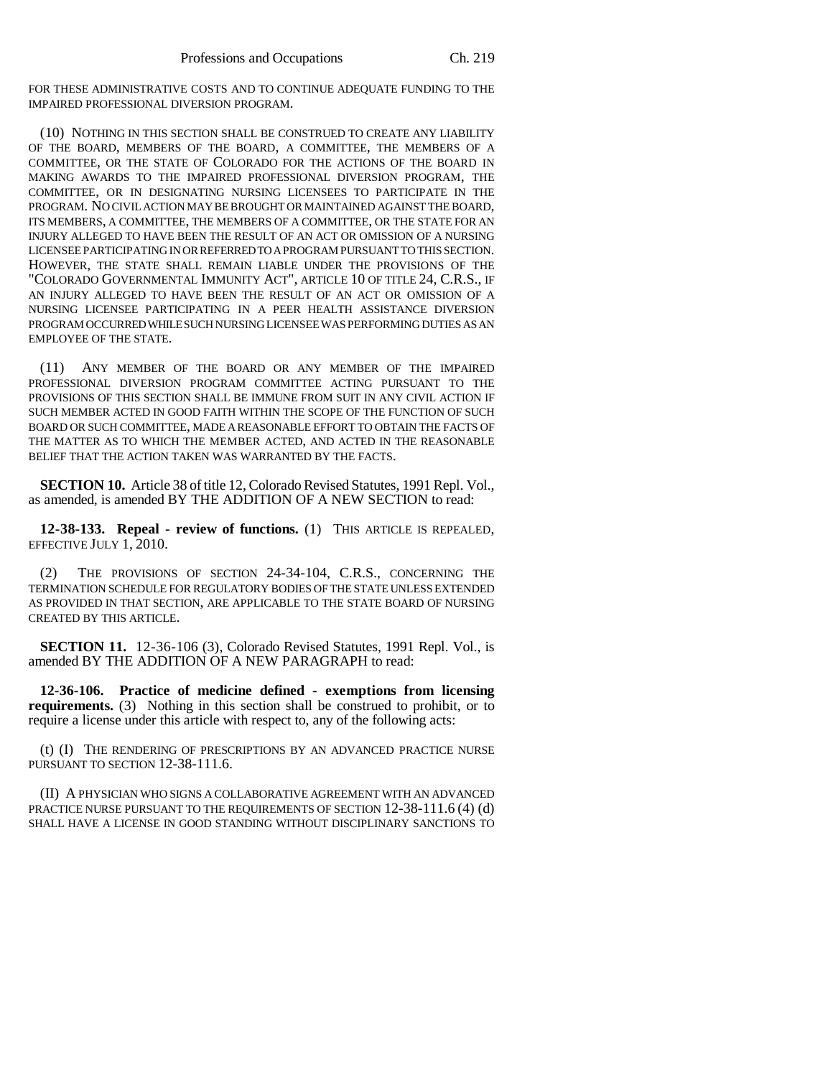FOR THESE ADMINISTRATIVE COSTS AND TO CONTINUE ADEQUATE FUNDING TO THE IMPAIRED PROFESSIONAL DIVERSION PROGRAM.

(10) NOTHING IN THIS SECTION SHALL BE CONSTRUED TO CREATE ANY LIABILITY OF THE BOARD, MEMBERS OF THE BOARD, A COMMITTEE, THE MEMBERS OF A COMMITTEE, OR THE STATE OF COLORADO FOR THE ACTIONS OF THE BOARD IN MAKING AWARDS TO THE IMPAIRED PROFESSIONAL DIVERSION PROGRAM, THE COMMITTEE, OR IN DESIGNATING NURSING LICENSEES TO PARTICIPATE IN THE PROGRAM. NO CIVIL ACTION MAY BE BROUGHT OR MAINTAINED AGAINST THE BOARD, ITS MEMBERS, A COMMITTEE, THE MEMBERS OF A COMMITTEE, OR THE STATE FOR AN INJURY ALLEGED TO HAVE BEEN THE RESULT OF AN ACT OR OMISSION OF A NURSING LICENSEE PARTICIPATING IN OR REFERRED TO A PROGRAM PURSUANT TO THIS SECTION. HOWEVER, THE STATE SHALL REMAIN LIABLE UNDER THE PROVISIONS OF THE "COLORADO GOVERNMENTAL IMMUNITY ACT", ARTICLE 10 OF TITLE 24, C.R.S., IF AN INJURY ALLEGED TO HAVE BEEN THE RESULT OF AN ACT OR OMISSION OF A NURSING LICENSEE PARTICIPATING IN A PEER HEALTH ASSISTANCE DIVERSION PROGRAM OCCURRED WHILE SUCH NURSING LICENSEE WAS PERFORMING DUTIES AS AN EMPLOYEE OF THE STATE.

(11) ANY MEMBER OF THE BOARD OR ANY MEMBER OF THE IMPAIRED PROFESSIONAL DIVERSION PROGRAM COMMITTEE ACTING PURSUANT TO THE PROVISIONS OF THIS SECTION SHALL BE IMMUNE FROM SUIT IN ANY CIVIL ACTION IF SUCH MEMBER ACTED IN GOOD FAITH WITHIN THE SCOPE OF THE FUNCTION OF SUCH BOARD OR SUCH COMMITTEE, MADE A REASONABLE EFFORT TO OBTAIN THE FACTS OF THE MATTER AS TO WHICH THE MEMBER ACTED, AND ACTED IN THE REASONABLE BELIEF THAT THE ACTION TAKEN WAS WARRANTED BY THE FACTS.

**SECTION 10.** Article 38 of title 12, Colorado Revised Statutes, 1991 Repl. Vol., as amended, is amended BY THE ADDITION OF A NEW SECTION to read:

**12-38-133. Repeal - review of functions.** (1) THIS ARTICLE IS REPEALED, EFFECTIVE JULY 1, 2010.

(2) THE PROVISIONS OF SECTION 24-34-104, C.R.S., CONCERNING THE TERMINATION SCHEDULE FOR REGULATORY BODIES OF THE STATE UNLESS EXTENDED AS PROVIDED IN THAT SECTION, ARE APPLICABLE TO THE STATE BOARD OF NURSING CREATED BY THIS ARTICLE.

**SECTION 11.** 12-36-106 (3), Colorado Revised Statutes, 1991 Repl. Vol., is amended BY THE ADDITION OF A NEW PARAGRAPH to read:

**12-36-106. Practice of medicine defined - exemptions from licensing requirements.** (3) Nothing in this section shall be construed to prohibit, or to require a license under this article with respect to, any of the following acts:

(t) (I) THE RENDERING OF PRESCRIPTIONS BY AN ADVANCED PRACTICE NURSE PURSUANT TO SECTION 12-38-111.6.

(II) A PHYSICIAN WHO SIGNS A COLLABORATIVE AGREEMENT WITH AN ADVANCED PRACTICE NURSE PURSUANT TO THE REQUIREMENTS OF SECTION 12-38-111.6 (4) (d) SHALL HAVE A LICENSE IN GOOD STANDING WITHOUT DISCIPLINARY SANCTIONS TO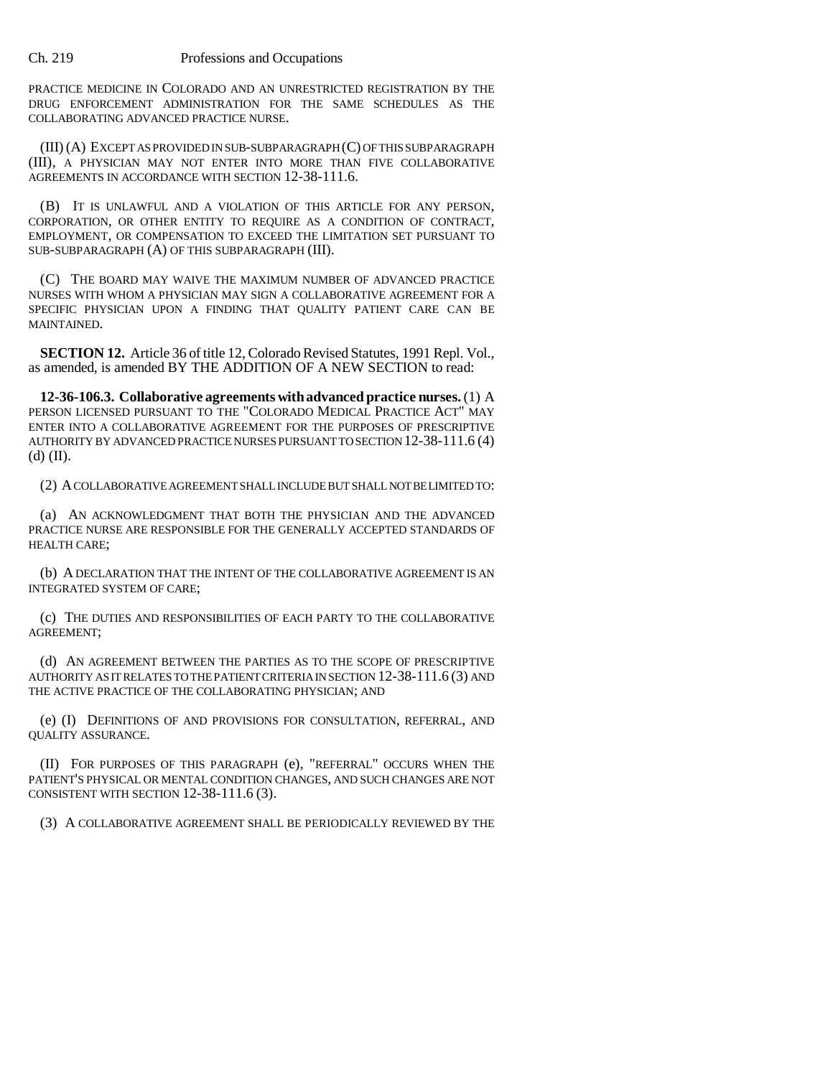PRACTICE MEDICINE IN COLORADO AND AN UNRESTRICTED REGISTRATION BY THE DRUG ENFORCEMENT ADMINISTRATION FOR THE SAME SCHEDULES AS THE COLLABORATING ADVANCED PRACTICE NURSE.

(III) (A) EXCEPT AS PROVIDED IN SUB-SUBPARAGRAPH (C) OF THIS SUBPARAGRAPH (III), A PHYSICIAN MAY NOT ENTER INTO MORE THAN FIVE COLLABORATIVE AGREEMENTS IN ACCORDANCE WITH SECTION 12-38-111.6.

(B) IT IS UNLAWFUL AND A VIOLATION OF THIS ARTICLE FOR ANY PERSON, CORPORATION, OR OTHER ENTITY TO REQUIRE AS A CONDITION OF CONTRACT, EMPLOYMENT, OR COMPENSATION TO EXCEED THE LIMITATION SET PURSUANT TO SUB-SUBPARAGRAPH (A) OF THIS SUBPARAGRAPH (III).

(C) THE BOARD MAY WAIVE THE MAXIMUM NUMBER OF ADVANCED PRACTICE NURSES WITH WHOM A PHYSICIAN MAY SIGN A COLLABORATIVE AGREEMENT FOR A SPECIFIC PHYSICIAN UPON A FINDING THAT QUALITY PATIENT CARE CAN BE MAINTAINED.

**SECTION 12.** Article 36 of title 12, Colorado Revised Statutes, 1991 Repl. Vol., as amended, is amended BY THE ADDITION OF A NEW SECTION to read:

**12-36-106.3. Collaborative agreements with advanced practice nurses.** (1) A PERSON LICENSED PURSUANT TO THE "COLORADO MEDICAL PRACTICE ACT" MAY ENTER INTO A COLLABORATIVE AGREEMENT FOR THE PURPOSES OF PRESCRIPTIVE AUTHORITY BY ADVANCED PRACTICE NURSES PURSUANT TO SECTION 12-38-111.6 (4)  $(d)$  (II).

(2) A COLLABORATIVE AGREEMENT SHALL INCLUDE BUT SHALL NOT BE LIMITED TO:

(a) AN ACKNOWLEDGMENT THAT BOTH THE PHYSICIAN AND THE ADVANCED PRACTICE NURSE ARE RESPONSIBLE FOR THE GENERALLY ACCEPTED STANDARDS OF HEALTH CARE;

(b) A DECLARATION THAT THE INTENT OF THE COLLABORATIVE AGREEMENT IS AN INTEGRATED SYSTEM OF CARE;

(c) THE DUTIES AND RESPONSIBILITIES OF EACH PARTY TO THE COLLABORATIVE AGREEMENT;

(d) AN AGREEMENT BETWEEN THE PARTIES AS TO THE SCOPE OF PRESCRIPTIVE AUTHORITY AS IT RELATES TO THE PATIENT CRITERIA IN SECTION 12-38-111.6 (3) AND THE ACTIVE PRACTICE OF THE COLLABORATING PHYSICIAN; AND

(e) (I) DEFINITIONS OF AND PROVISIONS FOR CONSULTATION, REFERRAL, AND QUALITY ASSURANCE.

(II) FOR PURPOSES OF THIS PARAGRAPH (e), "REFERRAL" OCCURS WHEN THE PATIENT'S PHYSICAL OR MENTAL CONDITION CHANGES, AND SUCH CHANGES ARE NOT CONSISTENT WITH SECTION 12-38-111.6 (3).

(3) A COLLABORATIVE AGREEMENT SHALL BE PERIODICALLY REVIEWED BY THE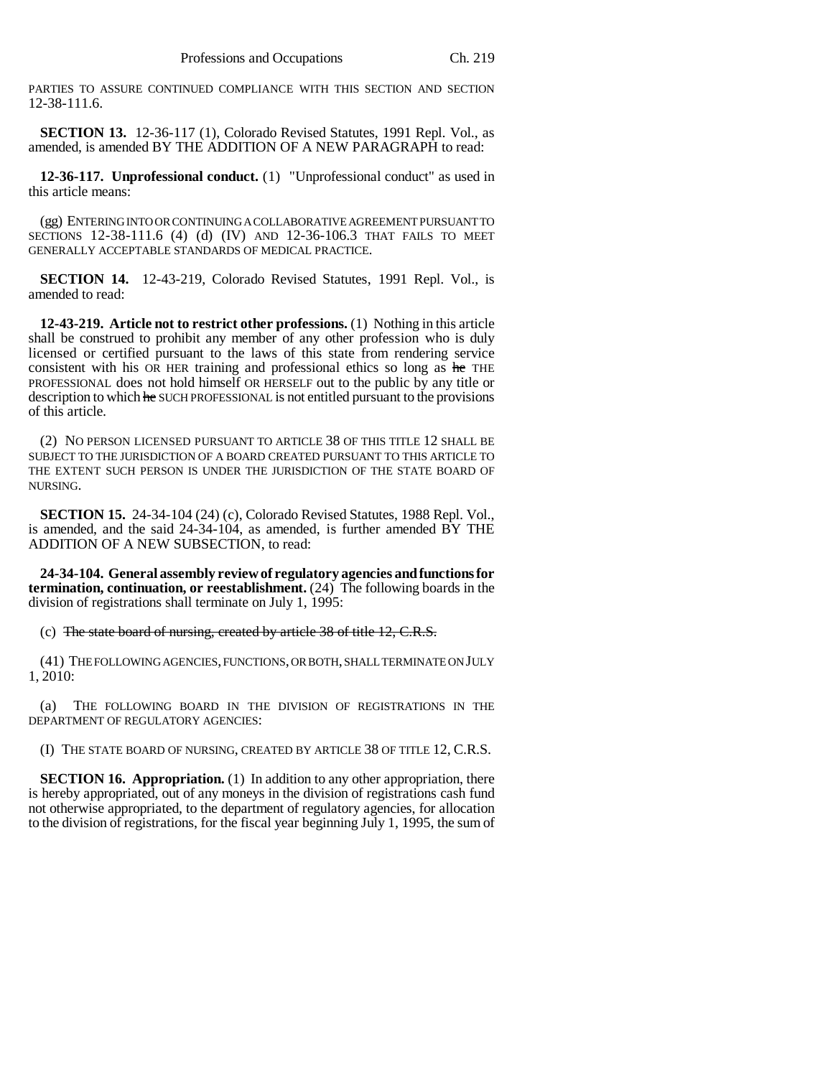PARTIES TO ASSURE CONTINUED COMPLIANCE WITH THIS SECTION AND SECTION 12-38-111.6.

**SECTION 13.** 12-36-117 (1), Colorado Revised Statutes, 1991 Repl. Vol., as amended, is amended BY THE ADDITION OF A NEW PARAGRAPH to read:

**12-36-117. Unprofessional conduct.** (1) "Unprofessional conduct" as used in this article means:

(gg) ENTERING INTO OR CONTINUING A COLLABORATIVE AGREEMENT PURSUANT TO SECTIONS 12-38-111.6 (4) (d) (IV) AND 12-36-106.3 THAT FAILS TO MEET GENERALLY ACCEPTABLE STANDARDS OF MEDICAL PRACTICE.

**SECTION 14.** 12-43-219, Colorado Revised Statutes, 1991 Repl. Vol., is amended to read:

**12-43-219. Article not to restrict other professions.** (1) Nothing in this article shall be construed to prohibit any member of any other profession who is duly licensed or certified pursuant to the laws of this state from rendering service consistent with his OR HER training and professional ethics so long as he THE PROFESSIONAL does not hold himself OR HERSELF out to the public by any title or description to which he SUCH PROFESSIONAL is not entitled pursuant to the provisions of this article.

(2) NO PERSON LICENSED PURSUANT TO ARTICLE 38 OF THIS TITLE 12 SHALL BE SUBJECT TO THE JURISDICTION OF A BOARD CREATED PURSUANT TO THIS ARTICLE TO THE EXTENT SUCH PERSON IS UNDER THE JURISDICTION OF THE STATE BOARD OF NURSING.

**SECTION 15.** 24-34-104 (24) (c), Colorado Revised Statutes, 1988 Repl. Vol., is amended, and the said 24-34-104, as amended, is further amended BY THE ADDITION OF A NEW SUBSECTION, to read:

**24-34-104. General assembly review of regulatory agencies and functions for termination, continuation, or reestablishment.** (24) The following boards in the division of registrations shall terminate on July 1, 1995:

(c) The state board of nursing, created by article 38 of title 12, C.R.S.

(41) THE FOLLOWING AGENCIES, FUNCTIONS, OR BOTH, SHALL TERMINATE ON JULY 1, 2010:

(a) THE FOLLOWING BOARD IN THE DIVISION OF REGISTRATIONS IN THE DEPARTMENT OF REGULATORY AGENCIES:

(I) THE STATE BOARD OF NURSING, CREATED BY ARTICLE 38 OF TITLE 12, C.R.S.

**SECTION 16. Appropriation.** (1) In addition to any other appropriation, there is hereby appropriated, out of any moneys in the division of registrations cash fund not otherwise appropriated, to the department of regulatory agencies, for allocation to the division of registrations, for the fiscal year beginning July 1, 1995, the sum of